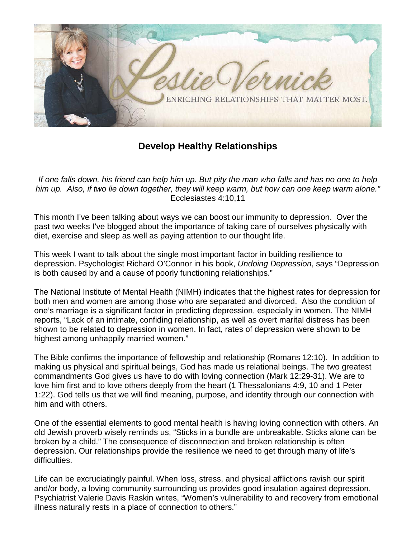

## **Develop Healthy Relationships**

*If one falls down, his friend can help him up. But pity the man who falls and has no one to help him up. Also, if two lie down together, they will keep warm, but how can one keep warm alone."*  Ecclesiastes 4:10,11

This month I've been talking about ways we can boost our immunity to depression. Over the past two weeks I've blogged about the importance of taking care of ourselves physically with diet, exercise and sleep as well as paying attention to our thought life.

This week I want to talk about the single most important factor in building resilience to depression. Psychologist Richard O'Connor in his book, *Undoing Depression*, says "Depression is both caused by and a cause of poorly functioning relationships."

The National Institute of Mental Health (NIMH) indicates that the highest rates for depression for both men and women are among those who are separated and divorced. Also the condition of one's marriage is a significant factor in predicting depression, especially in women. The NIMH reports, "Lack of an intimate, confiding relationship, as well as overt marital distress has been shown to be related to depression in women. In fact, rates of depression were shown to be highest among unhappily married women."

The Bible confirms the importance of fellowship and relationship (Romans 12:10). In addition to making us physical and spiritual beings, God has made us relational beings. The two greatest commandments God gives us have to do with loving connection (Mark 12:29-31). We are to love him first and to love others deeply from the heart (1 Thessalonians 4:9, 10 and 1 Peter 1:22). God tells us that we will find meaning, purpose, and identity through our connection with him and with others.

One of the essential elements to good mental health is having loving connection with others. An old Jewish proverb wisely reminds us, "Sticks in a bundle are unbreakable. Sticks alone can be broken by a child." The consequence of disconnection and broken relationship is often depression. Our relationships provide the resilience we need to get through many of life's difficulties.

Life can be excruciatingly painful. When loss, stress, and physical afflictions ravish our spirit and/or body, a loving community surrounding us provides good insulation against depression. Psychiatrist Valerie Davis Raskin writes, "Women's vulnerability to and recovery from emotional illness naturally rests in a place of connection to others."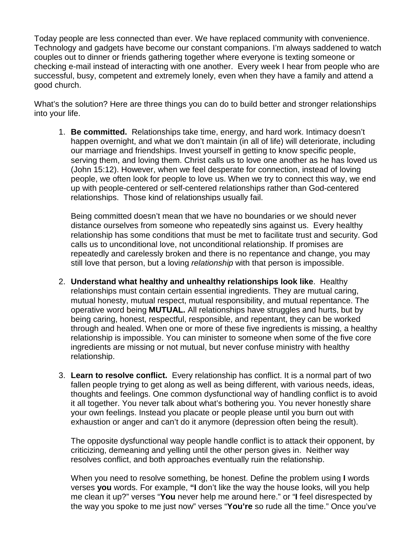Today people are less connected than ever. We have replaced community with convenience. Technology and gadgets have become our constant companions. I'm always saddened to watch couples out to dinner or friends gathering together where everyone is texting someone or checking e-mail instead of interacting with one another. Every week I hear from people who are successful, busy, competent and extremely lonely, even when they have a family and attend a good church.

What's the solution? Here are three things you can do to build better and stronger relationships into your life.

1. **Be committed.** Relationships take time, energy, and hard work. Intimacy doesn't happen overnight, and what we don't maintain (in all of life) will deteriorate, including our marriage and friendships. Invest yourself in getting to know specific people, serving them, and loving them. Christ calls us to love one another as he has loved us (John 15:12). However, when we feel desperate for connection, instead of loving people, we often look for people to love us. When we try to connect this way, we end up with people-centered or self-centered relationships rather than God-centered relationships. Those kind of relationships usually fail.

Being committed doesn't mean that we have no boundaries or we should never distance ourselves from someone who repeatedly sins against us. Every healthy relationship has some conditions that must be met to facilitate trust and security. God calls us to unconditional love, not unconditional relationship. If promises are repeatedly and carelessly broken and there is no repentance and change, you may still love that person, but a loving *relationship* with that person is impossible.

- 2. **Understand what healthy and unhealthy relationships look like**. Healthy relationships must contain certain essential ingredients. They are mutual caring, mutual honesty, mutual respect, mutual responsibility, and mutual repentance. The operative word being **MUTUAL.** All relationships have struggles and hurts, but by being caring, honest, respectful, responsible, and repentant, they can be worked through and healed. When one or more of these five ingredients is missing, a healthy relationship is impossible. You can minister to someone when some of the five core ingredients are missing or not mutual, but never confuse ministry with healthy relationship.
- 3. **Learn to resolve conflict.** Every relationship has conflict. It is a normal part of two fallen people trying to get along as well as being different, with various needs, ideas, thoughts and feelings. One common dysfunctional way of handling conflict is to avoid it all together. You never talk about what's bothering you. You never honestly share your own feelings. Instead you placate or people please until you burn out with exhaustion or anger and can't do it anymore (depression often being the result).

The opposite dysfunctional way people handle conflict is to attack their opponent, by criticizing, demeaning and yelling until the other person gives in. Neither way resolves conflict, and both approaches eventually ruin the relationship.

When you need to resolve something, be honest. Define the problem using **I** words verses **you** words. For example, **"I** don't like the way the house looks, will you help me clean it up?" verses "**You** never help me around here." or "**I** feel disrespected by the way you spoke to me just now" verses "**You're** so rude all the time." Once you've